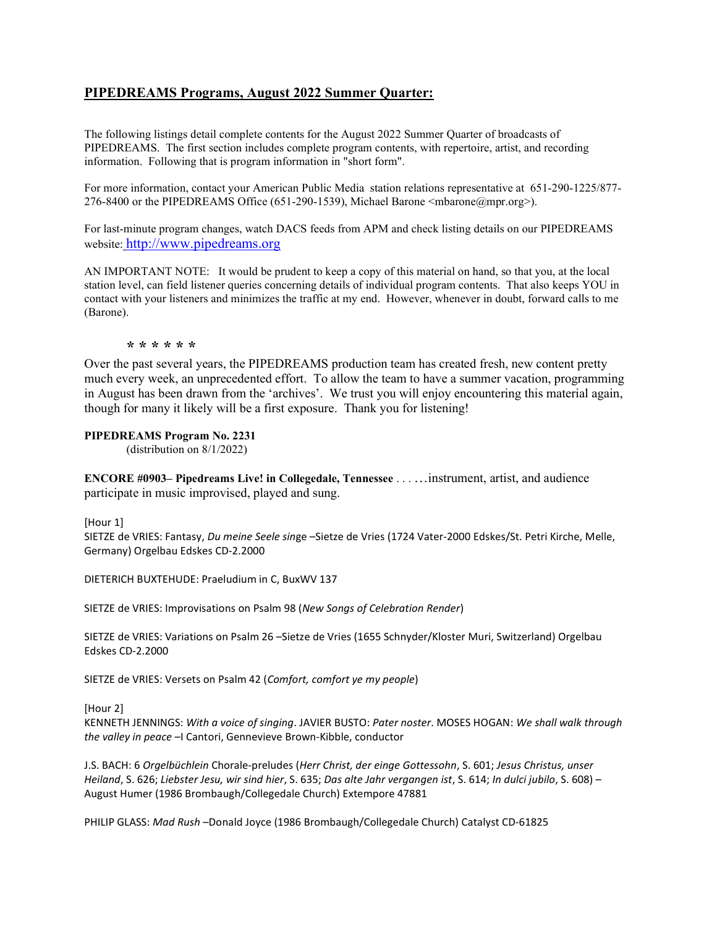# PIPEDREAMS Programs, August 2022 Summer Quarter:

The following listings detail complete contents for the August 2022 Summer Quarter of broadcasts of PIPEDREAMS. The first section includes complete program contents, with repertoire, artist, and recording information. Following that is program information in "short form".

For more information, contact your American Public Media station relations representative at 651-290-1225/877- 276-8400 or the PIPEDREAMS Office (651-290-1539), Michael Barone  $\langle \text{mbar} \omega \rangle$ .

For last-minute program changes, watch DACS feeds from APM and check listing details on our PIPEDREAMS website: http://www.pipedreams.org

AN IMPORTANT NOTE: It would be prudent to keep a copy of this material on hand, so that you, at the local station level, can field listener queries concerning details of individual program contents. That also keeps YOU in contact with your listeners and minimizes the traffic at my end. However, whenever in doubt, forward calls to me (Barone).

### \* \* \* \* \* \*

Over the past several years, the PIPEDREAMS production team has created fresh, new content pretty much every week, an unprecedented effort. To allow the team to have a summer vacation, programming in August has been drawn from the 'archives'. We trust you will enjoy encountering this material again, though for many it likely will be a first exposure. Thank you for listening!

### PIPEDREAMS Program No. 2231

(distribution on 8/1/2022)

ENCORE #0903– Pipedreams Live! in Collegedale, Tennessee . . . …instrument, artist, and audience participate in music improvised, played and sung.

[Hour 1]

SIETZE de VRIES: Fantasy, Du meine Seele singe –Sietze de Vries (1724 Vater-2000 Edskes/St. Petri Kirche, Melle, Germany) Orgelbau Edskes CD-2.2000

DIETERICH BUXTEHUDE: Praeludium in C, BuxWV 137

SIETZE de VRIES: Improvisations on Psalm 98 (New Songs of Celebration Render)

SIETZE de VRIES: Variations on Psalm 26 –Sietze de Vries (1655 Schnyder/Kloster Muri, Switzerland) Orgelbau Edskes CD-2.2000

SIETZE de VRIES: Versets on Psalm 42 (Comfort, comfort ye my people)

[Hour 2]

KENNETH JENNINGS: With a voice of singing. JAVIER BUSTO: Pater noster. MOSES HOGAN: We shall walk through the valley in peace - Cantori, Gennevieve Brown-Kibble, conductor

J.S. BACH: 6 Orgelbüchlein Chorale-preludes (Herr Christ, der einge Gottessohn, S. 601; Jesus Christus, unser Heiland, S. 626; Liebster Jesu, wir sind hier, S. 635; Das alte Jahr vergangen ist, S. 614; In dulci jubilo, S. 608) – August Humer (1986 Brombaugh/Collegedale Church) Extempore 47881

PHILIP GLASS: Mad Rush –Donald Joyce (1986 Brombaugh/Collegedale Church) Catalyst CD-61825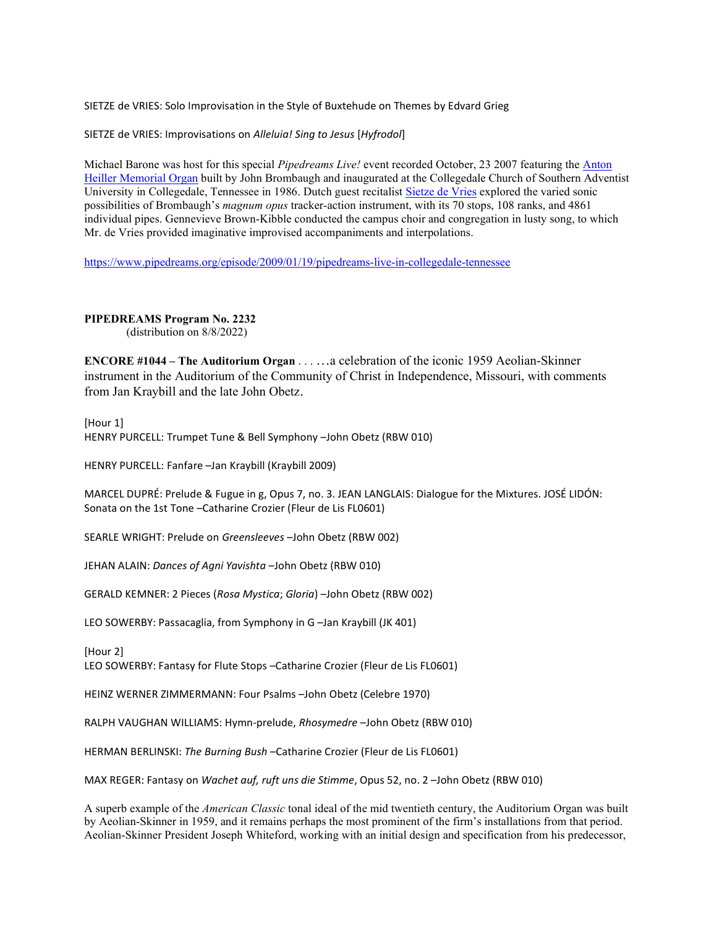SIETZE de VRIES: Solo Improvisation in the Style of Buxtehude on Themes by Edvard Grieg

SIETZE de VRIES: Improvisations on Alleluia! Sing to Jesus [Hyfrodol]

Michael Barone was host for this special Pipedreams Live! event recorded October, 23 2007 featuring the Anton Heiller Memorial Organ built by John Brombaugh and inaugurated at the Collegedale Church of Southern Adventist University in Collegedale, Tennessee in 1986. Dutch guest recitalist Sietze de Vries explored the varied sonic possibilities of Brombaugh's magnum opus tracker-action instrument, with its 70 stops, 108 ranks, and 4861 individual pipes. Gennevieve Brown-Kibble conducted the campus choir and congregation in lusty song, to which Mr. de Vries provided imaginative improvised accompaniments and interpolations.

https://www.pipedreams.org/episode/2009/01/19/pipedreams-live-in-collegedale-tennessee

PIPEDREAMS Program No. 2232 (distribution on 8/8/2022)

ENCORE #1044 – The Auditorium Organ . . . …a celebration of the iconic 1959 Aeolian-Skinner instrument in the Auditorium of the Community of Christ in Independence, Missouri, with comments from Jan Kraybill and the late John Obetz.

[Hour 1] HENRY PURCELL: Trumpet Tune & Bell Symphony –John Obetz (RBW 010)

HENRY PURCELL: Fanfare –Jan Kraybill (Kraybill 2009)

MARCEL DUPRÉ: Prelude & Fugue in g, Opus 7, no. 3. JEAN LANGLAIS: Dialogue for the Mixtures. JOSÉ LIDÓN: Sonata on the 1st Tone –Catharine Crozier (Fleur de Lis FL0601)

SEARLE WRIGHT: Prelude on Greensleeves –John Obetz (RBW 002)

JEHAN ALAIN: Dances of Agni Yavishta –John Obetz (RBW 010)

GERALD KEMNER: 2 Pieces (Rosa Mystica; Gloria) –John Obetz (RBW 002)

LEO SOWERBY: Passacaglia, from Symphony in G –Jan Kraybill (JK 401)

[Hour 2] LEO SOWERBY: Fantasy for Flute Stops –Catharine Crozier (Fleur de Lis FL0601)

HEINZ WERNER ZIMMERMANN: Four Psalms –John Obetz (Celebre 1970)

RALPH VAUGHAN WILLIAMS: Hymn-prelude, Rhosymedre –John Obetz (RBW 010)

HERMAN BERLINSKI: The Burning Bush –Catharine Crozier (Fleur de Lis FL0601)

MAX REGER: Fantasy on Wachet auf, ruft uns die Stimme, Opus 52, no. 2 –John Obetz (RBW 010)

A superb example of the American Classic tonal ideal of the mid twentieth century, the Auditorium Organ was built by Aeolian-Skinner in 1959, and it remains perhaps the most prominent of the firm's installations from that period. Aeolian-Skinner President Joseph Whiteford, working with an initial design and specification from his predecessor,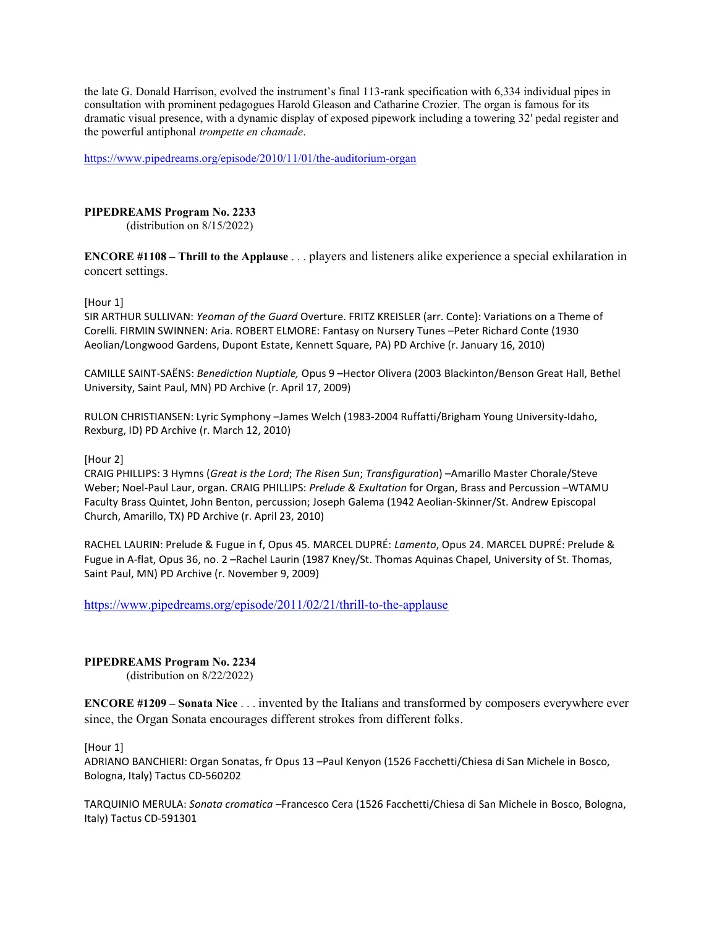the late G. Donald Harrison, evolved the instrument's final 113-rank specification with 6,334 individual pipes in consultation with prominent pedagogues Harold Gleason and Catharine Crozier. The organ is famous for its dramatic visual presence, with a dynamic display of exposed pipework including a towering 32′ pedal register and the powerful antiphonal trompette en chamade.

https://www.pipedreams.org/episode/2010/11/01/the-auditorium-organ

## PIPEDREAMS Program No. 2233

(distribution on 8/15/2022)

ENCORE #1108 – Thrill to the Applause . . . players and listeners alike experience a special exhilaration in concert settings.

[Hour 1]

SIR ARTHUR SULLIVAN: Yeoman of the Guard Overture. FRITZ KREISLER (arr. Conte): Variations on a Theme of Corelli. FIRMIN SWINNEN: Aria. ROBERT ELMORE: Fantasy on Nursery Tunes –Peter Richard Conte (1930 Aeolian/Longwood Gardens, Dupont Estate, Kennett Square, PA) PD Archive (r. January 16, 2010)

CAMILLE SAINT-SAËNS: Benediction Nuptiale, Opus 9 –Hector Olivera (2003 Blackinton/Benson Great Hall, Bethel University, Saint Paul, MN) PD Archive (r. April 17, 2009)

RULON CHRISTIANSEN: Lyric Symphony –James Welch (1983-2004 Ruffatti/Brigham Young University-Idaho, Rexburg, ID) PD Archive (r. March 12, 2010)

[Hour 2]

CRAIG PHILLIPS: 3 Hymns (Great is the Lord; The Risen Sun; Transfiguration) –Amarillo Master Chorale/Steve Weber; Noel-Paul Laur, organ. CRAIG PHILLIPS: Prelude & Exultation for Organ, Brass and Percussion -WTAMU Faculty Brass Quintet, John Benton, percussion; Joseph Galema (1942 Aeolian-Skinner/St. Andrew Episcopal Church, Amarillo, TX) PD Archive (r. April 23, 2010)

RACHEL LAURIN: Prelude & Fugue in f, Opus 45. MARCEL DUPRÉ: Lamento, Opus 24. MARCEL DUPRÉ: Prelude & Fugue in A-flat, Opus 36, no. 2 –Rachel Laurin (1987 Kney/St. Thomas Aquinas Chapel, University of St. Thomas, Saint Paul, MN) PD Archive (r. November 9, 2009)

https://www.pipedreams.org/episode/2011/02/21/thrill-to-the-applause

PIPEDREAMS Program No. 2234

(distribution on 8/22/2022)

ENCORE #1209 – Sonata Nice . . . invented by the Italians and transformed by composers everywhere ever since, the Organ Sonata encourages different strokes from different folks.

[Hour 1]

ADRIANO BANCHIERI: Organ Sonatas, fr Opus 13 –Paul Kenyon (1526 Facchetti/Chiesa di San Michele in Bosco, Bologna, Italy) Tactus CD-560202

TARQUINIO MERULA: Sonata cromatica –Francesco Cera (1526 Facchetti/Chiesa di San Michele in Bosco, Bologna, Italy) Tactus CD-591301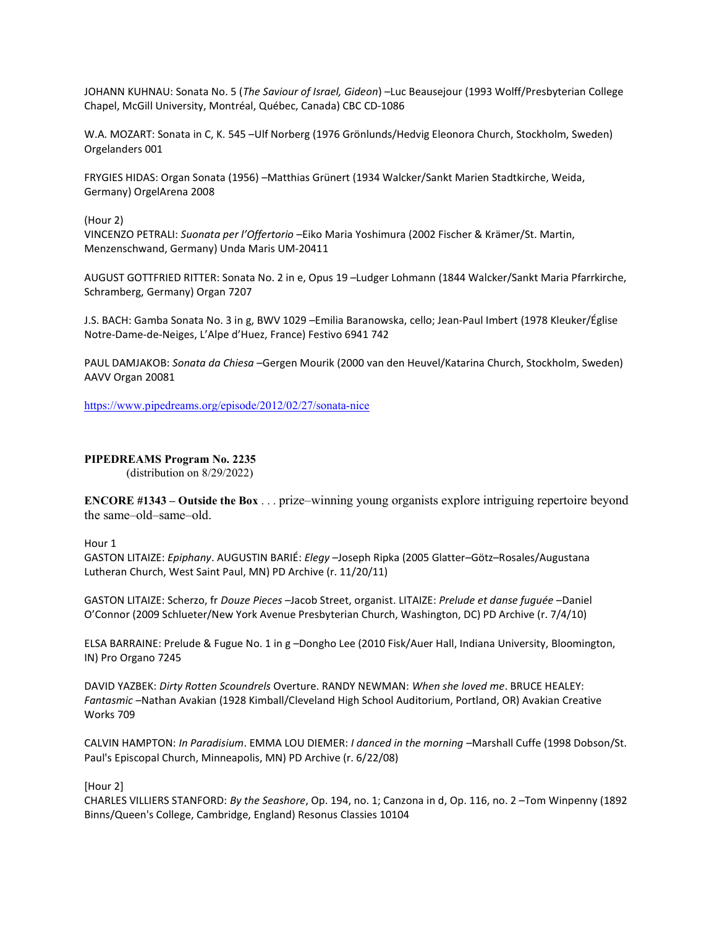JOHANN KUHNAU: Sonata No. 5 (The Saviour of Israel, Gideon) -Luc Beausejour (1993 Wolff/Presbyterian College Chapel, McGill University, Montréal, Québec, Canada) CBC CD-1086

W.A. MOZART: Sonata in C, K. 545 –Ulf Norberg (1976 Grönlunds/Hedvig Eleonora Church, Stockholm, Sweden) Orgelanders 001

FRYGIES HIDAS: Organ Sonata (1956) –Matthias Grünert (1934 Walcker/Sankt Marien Stadtkirche, Weida, Germany) OrgelArena 2008

(Hour 2)

VINCENZO PETRALI: Suonata per l'Offertorio –Eiko Maria Yoshimura (2002 Fischer & Krämer/St. Martin, Menzenschwand, Germany) Unda Maris UM-20411

AUGUST GOTTFRIED RITTER: Sonata No. 2 in e, Opus 19 –Ludger Lohmann (1844 Walcker/Sankt Maria Pfarrkirche, Schramberg, Germany) Organ 7207

J.S. BACH: Gamba Sonata No. 3 in g, BWV 1029 –Emilia Baranowska, cello; Jean-Paul Imbert (1978 Kleuker/Église Notre-Dame-de-Neiges, L'Alpe d'Huez, France) Festivo 6941 742

PAUL DAMJAKOB: Sonata da Chiesa –Gergen Mourik (2000 van den Heuvel/Katarina Church, Stockholm, Sweden) AAVV Organ 20081

https://www.pipedreams.org/episode/2012/02/27/sonata-nice

PIPEDREAMS Program No. 2235

(distribution on 8/29/2022)

ENCORE #1343 – Outside the Box . . . prize–winning young organists explore intriguing repertoire beyond the same–old–same–old.

Hour 1

GASTON LITAIZE: Epiphany. AUGUSTIN BARIÉ: Elegy –Joseph Ripka (2005 Glatter–Götz–Rosales/Augustana Lutheran Church, West Saint Paul, MN) PD Archive (r. 11/20/11)

GASTON LITAIZE: Scherzo, fr Douze Pieces –Jacob Street, organist. LITAIZE: Prelude et danse fuguée –Daniel O'Connor (2009 Schlueter/New York Avenue Presbyterian Church, Washington, DC) PD Archive (r. 7/4/10)

ELSA BARRAINE: Prelude & Fugue No. 1 in g –Dongho Lee (2010 Fisk/Auer Hall, Indiana University, Bloomington, IN) Pro Organo 7245

DAVID YAZBEK: Dirty Rotten Scoundrels Overture. RANDY NEWMAN: When she loved me. BRUCE HEALEY: Fantasmic –Nathan Avakian (1928 Kimball/Cleveland High School Auditorium, Portland, OR) Avakian Creative Works 709

CALVIN HAMPTON: In Paradisium. EMMA LOU DIEMER: I danced in the morning –Marshall Cuffe (1998 Dobson/St. Paul's Episcopal Church, Minneapolis, MN) PD Archive (r. 6/22/08)

[Hour 2]

CHARLES VILLIERS STANFORD: By the Seashore, Op. 194, no. 1; Canzona in d, Op. 116, no. 2 –Tom Winpenny (1892 Binns/Queen's College, Cambridge, England) Resonus Classies 10104